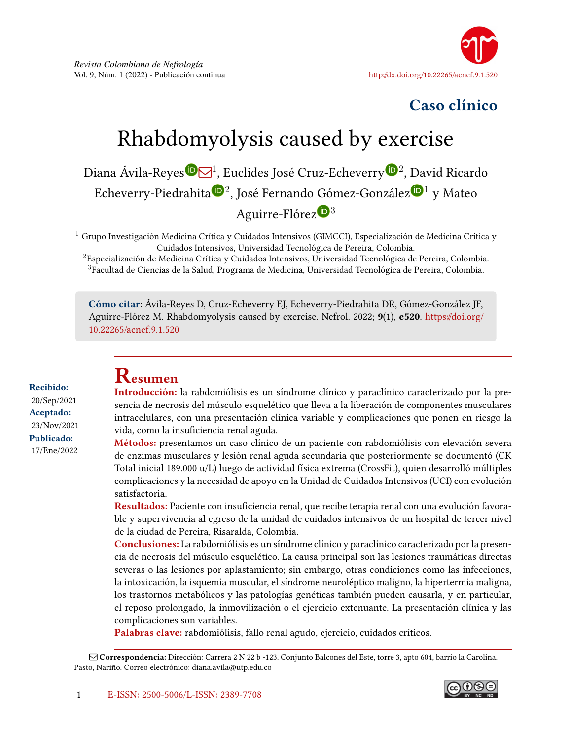

# Caso clínico

# Rhabdomyolysis caused by exercise

Diana Ávila-Reye[s](https://orcid.org/0000-0001-7140-5046)®⊠<sup>1</sup>, Euclides José Cruz-Echeverr[y](https://orcid.org/0000-0002-6359-717X)®<sup>2</sup>, David Ricardo Echeverry-Piedr[a](https://orcid.org/0000-0002-3845-9955)hita®<sup>2</sup>, José Fernando Góme[z](https://orcid.org/0000-0002-2789-314X)-González®<sup>1</sup> y Mateo Aguirre-Flóre[z](https://orcid.org/0000-0003-0365-562X) $\mathbf{D}^3$ 

 $1$  Grupo Investigación Medicina Crítica y Cuidados Intensivos (GIMCCI), Especialización de Medicina Crítica y Cuidados Intensivos, Universidad Tecnológica de Pereira, Colombia.

<sup>2</sup>Especialización de Medicina Crítica y Cuidados Intensivos, Universidad Tecnológica de Pereira, Colombia. <sup>3</sup>Facultad de Ciencias de la Salud, Programa de Medicina, Universidad Tecnológica de Pereira, Colombia.

Cómo citar: Ávila-Reyes D, Cruz-Echeverry EJ, Echeverry-Piedrahita DR, Gómez-González JF, Aguirre-Flórez M. Rhabdomyolysis caused by exercise. Nefrol. 2022; 9(1), e520. [https://doi.org/](https://doi.org/10.22265/acnef.9.1.520) [10.22265/acnef.9.1.520](https://doi.org/10.22265/acnef.9.1.520)

Recibido: 20/Sep/2021 Aceptado: 23/Nov/2021 Publicado: 17/Ene/2022

# Resumen

Introducción: la rabdomiólisis es un síndrome clínico y paraclínico caracterizado por la presencia de necrosis del músculo esquelético que lleva a la liberación de componentes musculares intracelulares, con una presentación clínica variable y complicaciones que ponen en riesgo la vida, como la insuficiencia renal aguda.

Métodos: presentamos un caso clínico de un paciente con rabdomiólisis con elevación severa de enzimas musculares y lesión renal aguda secundaria que posteriormente se documentó (CK Total inicial 189.000 u/L) luego de actividad física extrema (CrossFit), quien desarrolló múltiples complicaciones y la necesidad de apoyo en la Unidad de Cuidados Intensivos (UCI) con evolución satisfactoria.

Resultados: Paciente con insuficiencia renal, que recibe terapia renal con una evolución favorable y supervivencia al egreso de la unidad de cuidados intensivos de un hospital de tercer nivel de la ciudad de Pereira, Risaralda, Colombia.

Conclusiones: La rabdomiólisis es un síndrome clínico y paraclínico caracterizado por la presencia de necrosis del músculo esquelético. La causa principal son las lesiones traumáticas directas severas o las lesiones por aplastamiento; sin embargo, otras condiciones como las infecciones, la intoxicación, la isquemia muscular, el síndrome neuroléptico maligno, la hipertermia maligna, los trastornos metabólicos y las patologías genéticas también pueden causarla, y en particular, el reposo prolongado, la inmovilización o el ejercicio extenuante. La presentación clínica y las complicaciones son variables.

Palabras clave: rabdomiólisis, fallo renal agudo, ejercicio, cuidados críticos.



Q Correspondencia: Dirección: Carrera 2 N 22 b -123. Conjunto Balcones del Este, torre 3, apto 604, barrio la Carolina. Pasto, Nariño. Correo electrónico: diana.avila@utp.edu.co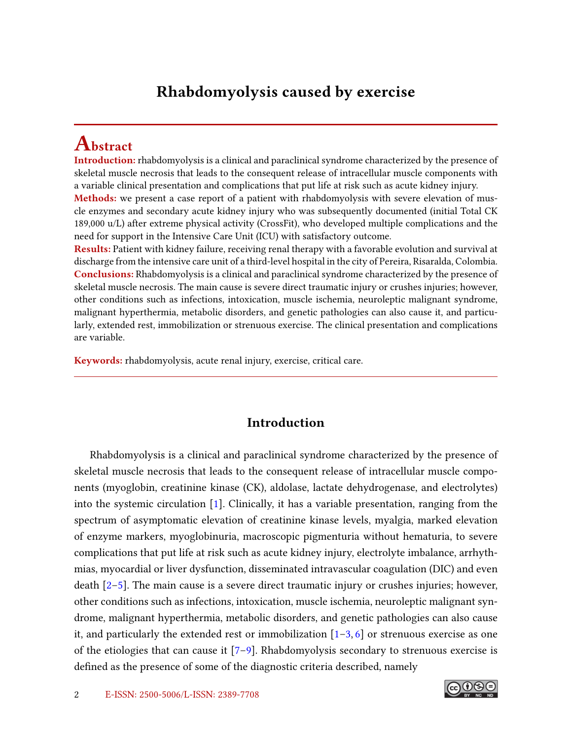## <span id="page-1-0"></span>Rhabdomyolysis caused by exercise

# Abstract

Introduction: rhabdomyolysis is a clinical and paraclinical syndrome characterized by the presence of skeletal muscle necrosis that leads to the consequent release of intracellular muscle components with a variable clinical presentation and complications that put life at risk such as acute kidney injury. **Methods:** we present a case report of a patient with rhabdomyolysis with severe elevation of muscle enzymes and secondary acute kidney injury who was subsequently documented (initial Total CK 189,000 u/L) after extreme physical activity (CrossFit), who developed multiple complications and the need for support in the Intensive Care Unit (ICU) with satisfactory outcome.

Results: Patient with kidney failure, receiving renal therapy with a favorable evolution and survival at discharge from the intensive care unit of a third-level hospital in the city of Pereira, Risaralda, Colombia. Conclusions: Rhabdomyolysis is a clinical and paraclinical syndrome characterized by the presence of skeletal muscle necrosis. The main cause is severe direct traumatic injury or crushes injuries; however, other conditions such as infections, intoxication, muscle ischemia, neuroleptic malignant syndrome, malignant hyperthermia, metabolic disorders, and genetic pathologies can also cause it, and particularly, extended rest, immobilization or strenuous exercise. The clinical presentation and complications are variable.

Keywords: rhabdomyolysis, acute renal injury, exercise, critical care.

### Introduction

Rhabdomyolysis is a clinical and paraclinical syndrome characterized by the presence of skeletal muscle necrosis that leads to the consequent release of intracellular muscle components (myoglobin, creatinine kinase (CK), aldolase, lactate dehydrogenase, and electrolytes) into the systemic circulation [\[1\]](#page-6-0). Clinically, it has a variable presentation, ranging from the spectrum of asymptomatic elevation of creatinine kinase levels, myalgia, marked elevation of enzyme markers, myoglobinuria, macroscopic pigmenturia without hematuria, to severe complications that put life at risk such as acute kidney injury, electrolyte imbalance, arrhythmias, myocardial or liver dysfunction, disseminated intravascular coagulation (DIC) and even death  $[2-5]$  $[2-5]$ . The main cause is a severe direct traumatic injury or crushes injuries; however, other conditions such as infections, intoxication, muscle ischemia, neuroleptic malignant syndrome, malignant hyperthermia, metabolic disorders, and genetic pathologies can also cause it, and particularly the extended rest or immobilization  $[1-3, 6]$  $[1-3, 6]$  $[1-3, 6]$  $[1-3, 6]$  or strenuous exercise as one of the etiologies that can cause it  $[7-9]$  $[7-9]$ . Rhabdomyolysis secondary to strenuous exercise is defined as the presence of some of the diagnostic criteria described, namely

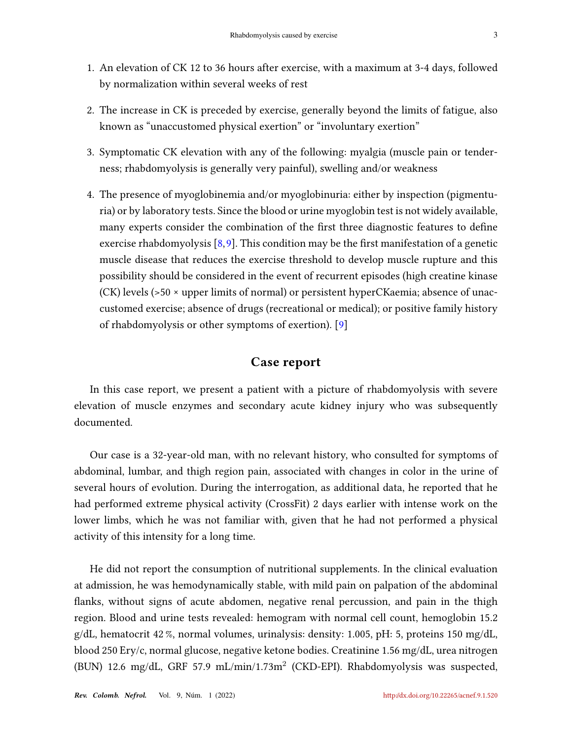- <span id="page-2-0"></span>1. An elevation of CK 12 to 36 hours after exercise, with a maximum at 3-4 days, followed by normalization within several weeks of rest
- 2. The increase in CK is preceded by exercise, generally beyond the limits of fatigue, also known as "unaccustomed physical exertion" or "involuntary exertion"
- 3. Symptomatic CK elevation with any of the following: myalgia (muscle pain or tenderness; rhabdomyolysis is generally very painful), swelling and/or weakness
- 4. The presence of myoglobinemia and/or myoglobinuria: either by inspection (pigmenturia) or by laboratory tests. Since the blood or urine myoglobin test is not widely available, many experts consider the combination of the first three diagnostic features to define exercise rhabdomyolysis  $[8,9]$  $[8,9]$ . This condition may be the first manifestation of a genetic muscle disease that reduces the exercise threshold to develop muscle rupture and this possibility should be considered in the event of recurrent episodes (high creatine kinase (CK) levels (>50 × upper limits of normal) or persistent hyperCKaemia; absence of unaccustomed exercise; absence of drugs (recreational or medical); or positive family history of rhabdomyolysis or other symptoms of exertion). [\[9\]](#page-7-0)

### Case report

In this case report, we present a patient with a picture of rhabdomyolysis with severe elevation of muscle enzymes and secondary acute kidney injury who was subsequently documented.

Our case is a 32-year-old man, with no relevant history, who consulted for symptoms of abdominal, lumbar, and thigh region pain, associated with changes in color in the urine of several hours of evolution. During the interrogation, as additional data, he reported that he had performed extreme physical activity (CrossFit) 2 days earlier with intense work on the lower limbs, which he was not familiar with, given that he had not performed a physical activity of this intensity for a long time.

He did not report the consumption of nutritional supplements. In the clinical evaluation at admission, he was hemodynamically stable, with mild pain on palpation of the abdominal flanks, without signs of acute abdomen, negative renal percussion, and pain in the thigh region. Blood and urine tests revealed: hemogram with normal cell count, hemoglobin 15.2  $g/dL$ , hematocrit 42%, normal volumes, urinalysis: density: 1.005, pH: 5, proteins 150 mg/dL, blood 250 Ery/c, normal glucose, negative ketone bodies. Creatinine 1.56 mg/dL, urea nitrogen (BUN) 12.6 mg/dL, GRF 57.9 mL/min/1.73m<sup>2</sup> (CKD-EPI). Rhabdomyolysis was suspected,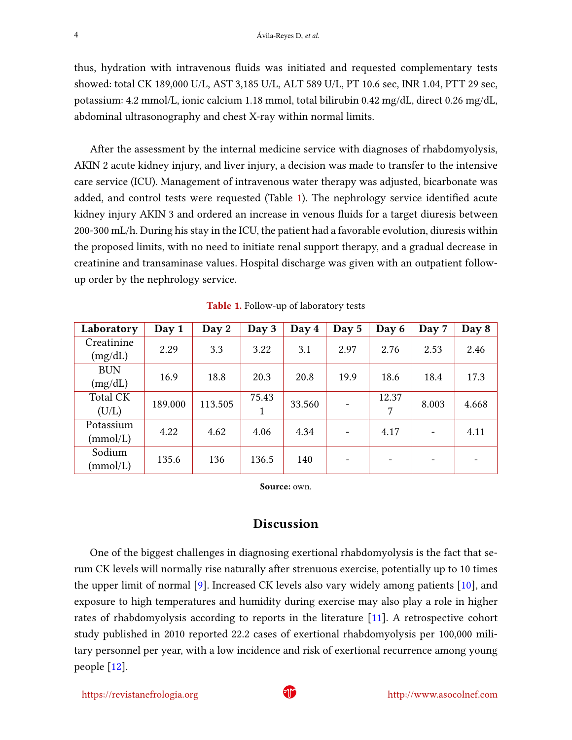<span id="page-3-1"></span>thus, hydration with intravenous fluids was initiated and requested complementary tests showed: total CK 189,000 U/L, AST 3,185 U/L, ALT 589 U/L, PT 10.6 sec, INR 1.04, PTT 29 sec, potassium: 4.2 mmol/L, ionic calcium 1.18 mmol, total bilirubin 0.42 mg/dL, direct 0.26 mg/dL, abdominal ultrasonography and chest X-ray within normal limits.

After the assessment by the internal medicine service with diagnoses of rhabdomyolysis, AKIN 2 acute kidney injury, and liver injury, a decision was made to transfer to the intensive care service (ICU). Management of intravenous water therapy was adjusted, bicarbonate was added, and control tests were requested (Table [1\)](#page-3-0). The nephrology service identified acute kidney injury AKIN 3 and ordered an increase in venous fluids for a target diuresis between 200-300 mL/h. During his stay in the ICU, the patient had a favorable evolution, diuresis within the proposed limits, with no need to initiate renal support therapy, and a gradual decrease in creatinine and transaminase values. Hospital discharge was given with an outpatient followup order by the nephrology service.

<span id="page-3-0"></span>

| Laboratory               | Day 1   | Day 2   | Day 3      | Day 4  | Day 5                    | Day 6      | Day 7 | Day 8 |
|--------------------------|---------|---------|------------|--------|--------------------------|------------|-------|-------|
| Creatinine<br>(mg/dL)    | 2.29    | 3.3     | 3.22       | 3.1    | 2.97                     | 2.76       | 2.53  | 2.46  |
| <b>BUN</b><br>(mg/dL)    | 16.9    | 18.8    | 20.3       | 20.8   | 19.9                     | 18.6       | 18.4  | 17.3  |
| <b>Total CK</b><br>(U/L) | 189.000 | 113.505 | 75.43<br>1 | 33.560 |                          | 12.37<br>7 | 8.003 | 4.668 |
| Potassium<br>(mmol/L)    | 4.22    | 4.62    | 4.06       | 4.34   |                          | 4.17       |       | 4.11  |
| Sodium<br>(mmol/L)       | 135.6   | 136     | 136.5      | 140    | $\overline{\phantom{a}}$ |            |       |       |

Table 1. Follow-up of laboratory tests

Source: own.

#### Discussion

One of the biggest challenges in diagnosing exertional rhabdomyolysis is the fact that serum CK levels will normally rise naturally after strenuous exercise, potentially up to 10 times the upper limit of normal [\[9\]](#page-7-0). Increased CK levels also vary widely among patients [\[10\]](#page-7-2), and exposure to high temperatures and humidity during exercise may also play a role in higher rates of rhabdomyolysis according to reports in the literature [\[11\]](#page-7-3). A retrospective cohort study published in 2010 reported 22.2 cases of exertional rhabdomyolysis per 100,000 military personnel per year, with a low incidence and risk of exertional recurrence among young people [\[12\]](#page-7-4).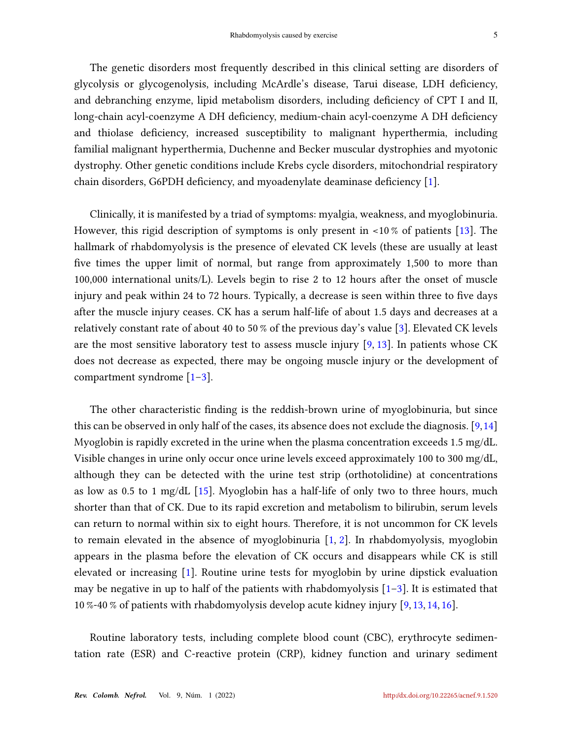<span id="page-4-0"></span>The genetic disorders most frequently described in this clinical setting are disorders of glycolysis or glycogenolysis, including McArdle's disease, Tarui disease, LDH deficiency, and debranching enzyme, lipid metabolism disorders, including deficiency of CPT I and II, long-chain acyl-coenzyme A DH deficiency, medium-chain acyl-coenzyme A DH deficiency and thiolase deficiency, increased susceptibility to malignant hyperthermia, including familial malignant hyperthermia, Duchenne and Becker muscular dystrophies and myotonic dystrophy. Other genetic conditions include Krebs cycle disorders, mitochondrial respiratory chain disorders, G6PDH deficiency, and myoadenylate deaminase deficiency  $[1]$ .

Clinically, it is manifested by a triad of symptoms: myalgia, weakness, and myoglobinuria. However, this rigid description of symptoms is only present in <10 % of patients [\[13\]](#page-7-5). The hallmark of rhabdomyolysis is the presence of elevated CK levels (these are usually at least five times the upper limit of normal, but range from approximately 1,500 to more than 100,000 international units/L). Levels begin to rise 2 to 12 hours after the onset of muscle injury and peak within 24 to 72 hours. Typically, a decrease is seen within three to five days after the muscle injury ceases. CK has a serum half-life of about 1.5 days and decreases at a relatively constant rate of about 40 to 50 % of the previous day's value [\[3\]](#page-6-3). Elevated CK levels are the most sensitive laboratory test to assess muscle injury  $[9, 13]$  $[9, 13]$  $[9, 13]$ . In patients whose CK does not decrease as expected, there may be ongoing muscle injury or the development of compartment syndrome [\[1–](#page-6-0)[3\]](#page-6-3).

The other characteristic finding is the reddish-brown urine of myoglobinuria, but since this can be observed in only half of the cases, its absence does not exclude the diagnosis.  $[9,14]$  $[9,14]$ Myoglobin is rapidly excreted in the urine when the plasma concentration exceeds 1.5 mg/dL. Visible changes in urine only occur once urine levels exceed approximately 100 to 300 mg/dL, although they can be detected with the urine test strip (orthotolidine) at concentrations as low as 0.5 to 1 mg/dL  $[15]$ . Myoglobin has a half-life of only two to three hours, much shorter than that of CK. Due to its rapid excretion and metabolism to bilirubin, serum levels can return to normal within six to eight hours. Therefore, it is not uncommon for CK levels to remain elevated in the absence of myoglobinuria [\[1,](#page-6-0) [2\]](#page-6-1). In rhabdomyolysis, myoglobin appears in the plasma before the elevation of CK occurs and disappears while CK is still elevated or increasing [\[1\]](#page-6-0). Routine urine tests for myoglobin by urine dipstick evaluation may be negative in up to half of the patients with rhabdomyolysis  $[1-3]$  $[1-3]$ . It is estimated that 10 %-40 % of patients with rhabdomyolysis develop acute kidney injury [\[9,](#page-7-0) [13,](#page-7-5) [14,](#page-7-6) [16\]](#page-7-8).

Routine laboratory tests, including complete blood count (CBC), erythrocyte sedimentation rate (ESR) and C-reactive protein (CRP), kidney function and urinary sediment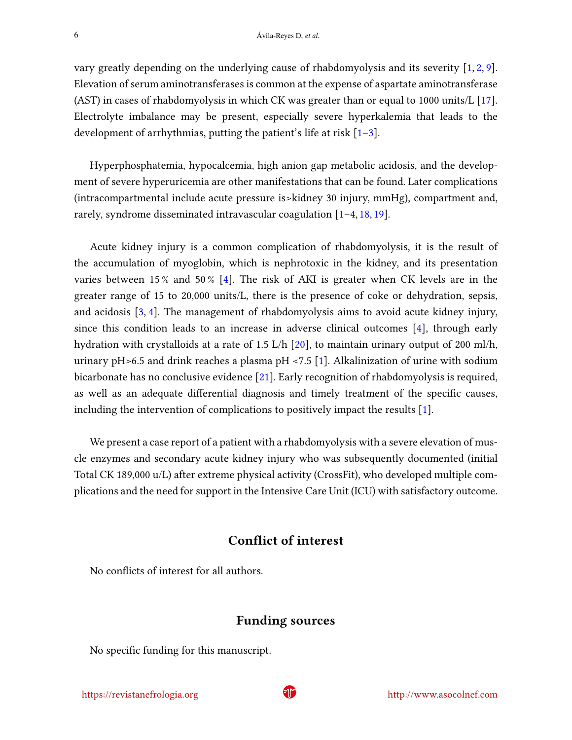<span id="page-5-0"></span>vary greatly depending on the underlying cause of rhabdomyolysis and its severity [\[1,](#page-6-0) [2,](#page-6-1) [9\]](#page-7-0). Elevation of serum aminotransferases is common at the expense of aspartate aminotransferase (AST) in cases of rhabdomyolysis in which CK was greater than or equal to 1000 units/L [\[17\]](#page-7-9). Electrolyte imbalance may be present, especially severe hyperkalemia that leads to the development of arrhythmias, putting the patient's life at risk  $[1-3]$  $[1-3]$ .

Hyperphosphatemia, hypocalcemia, high anion gap metabolic acidosis, and the development of severe hyperuricemia are other manifestations that can be found. Later complications (intracompartmental include acute pressure is>kidney 30 injury, mmHg), compartment and, rarely, syndrome disseminated intravascular coagulation [\[1](#page-6-0)[–4,](#page-6-6) [18,](#page-7-10) [19\]](#page-8-0).

Acute kidney injury is a common complication of rhabdomyolysis, it is the result of the accumulation of myoglobin, which is nephrotoxic in the kidney, and its presentation varies between 15% and 50% [\[4\]](#page-6-6). The risk of AKI is greater when CK levels are in the greater range of 15 to 20,000 units/L, there is the presence of coke or dehydration, sepsis, and acidosis [\[3,](#page-6-3) [4\]](#page-6-6). The management of rhabdomyolysis aims to avoid acute kidney injury, since this condition leads to an increase in adverse clinical outcomes [\[4\]](#page-6-6), through early hydration with crystalloids at a rate of 1.5 L/h [\[20\]](#page-8-1), to maintain urinary output of 200 ml/h, urinary pH $>6.5$  and drink reaches a plasma pH $\lt$ 7.5 [\[1\]](#page-6-0). Alkalinization of urine with sodium bicarbonate has no conclusive evidence [\[21\]](#page-8-2). Early recognition of rhabdomyolysis is required, as well as an adequate differential diagnosis and timely treatment of the specific causes, including the intervention of complications to positively impact the results [\[1\]](#page-6-0).

We present a case report of a patient with a rhabdomyolysis with a severe elevation of muscle enzymes and secondary acute kidney injury who was subsequently documented (initial Total CK 189,000 u/L) after extreme physical activity (CrossFit), who developed multiple complications and the need for support in the Intensive Care Unit (ICU) with satisfactory outcome.

### Conflict of interest

No conflicts of interest for all authors.

#### Funding sources

No specific funding for this manuscript.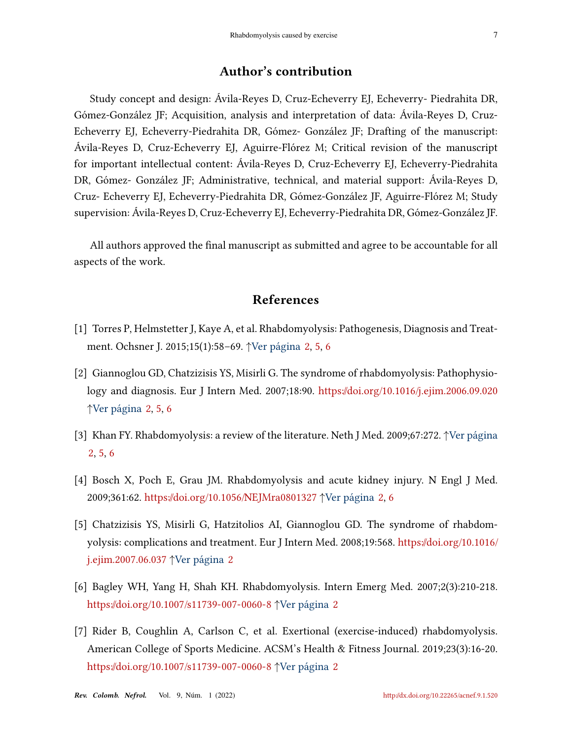#### Author's contribution

Study concept and design: Ávila-Reyes D, Cruz-Echeverry EJ, Echeverry- Piedrahita DR, Gómez-González JF; Acquisition, analysis and interpretation of data: Ávila-Reyes D, Cruz-Echeverry EJ, Echeverry-Piedrahita DR, Gómez- González JF; Drafting of the manuscript: Ávila-Reyes D, Cruz-Echeverry EJ, Aguirre-Flórez M; Critical revision of the manuscript for important intellectual content: Ávila-Reyes D, Cruz-Echeverry EJ, Echeverry-Piedrahita DR, Gómez- González JF; Administrative, technical, and material support: Ávila-Reyes D, Cruz- Echeverry EJ, Echeverry-Piedrahita DR, Gómez-González JF, Aguirre-Flórez M; Study supervision: Ávila-Reyes D, Cruz-Echeverry EJ, Echeverry-Piedrahita DR, Gómez-González JF.

All authors approved the final manuscript as submitted and agree to be accountable for all aspects of the work.

#### References

- <span id="page-6-0"></span>[1] Torres P, Helmstetter J, Kaye A, et al. Rhabdomyolysis: Pathogenesis, Diagnosis and Treatment. Ochsner J. 2015;15(1):58–69. ↑Ver página [2,](#page-1-0) [5,](#page-4-0) [6](#page-5-0)
- <span id="page-6-1"></span>[2] Giannoglou GD, Chatzizisis YS, Misirli G. The syndrome of rhabdomyolysis: Pathophysiology and diagnosis. Eur J Intern Med. 2007;18:90. <https://doi.org/10.1016/j.ejim.2006.09.020> ↑Ver página [2,](#page-1-0) [5,](#page-4-0) [6](#page-5-0)
- <span id="page-6-3"></span>[3] Khan FY. Rhabdomyolysis: a review of the literature. Neth J Med. 2009;67:272. ↑Ver página [2,](#page-1-0) [5,](#page-4-0) [6](#page-5-0)
- <span id="page-6-6"></span>[4] Bosch X, Poch E, Grau JM. Rhabdomyolysis and acute kidney injury. N Engl J Med. 2009;361:62. <https://doi.org/10.1056/NEJMra0801327> ↑Ver página [2,](#page-1-0) [6](#page-5-0)
- <span id="page-6-2"></span>[5] Chatzizisis YS, Misirli G, Hatzitolios AI, Giannoglou GD. The syndrome of rhabdomyolysis: complications and treatment. Eur J Intern Med. 2008;19:568. [https://doi.org/10.1016/](https://doi.org/10.1016/j.ejim.2007.06.037) [j.ejim.2007.06.037](https://doi.org/10.1016/j.ejim.2007.06.037) ↑Ver página [2](#page-1-0)
- <span id="page-6-4"></span>[6] Bagley WH, Yang H, Shah KH. Rhabdomyolysis. Intern Emerg Med. 2007;2(3):210-218. <https://doi.org/10.1007/s11739-007-0060-8> ↑Ver página [2](#page-1-0)
- <span id="page-6-5"></span>[7] Rider B, Coughlin A, Carlson C, et al. Exertional (exercise-induced) rhabdomyolysis. American College of Sports Medicine. ACSM's Health & Fitness Journal. 2019;23(3):16-20. <https://doi.org/10.1007/s11739-007-0060-8> ↑Ver página [2](#page-1-0)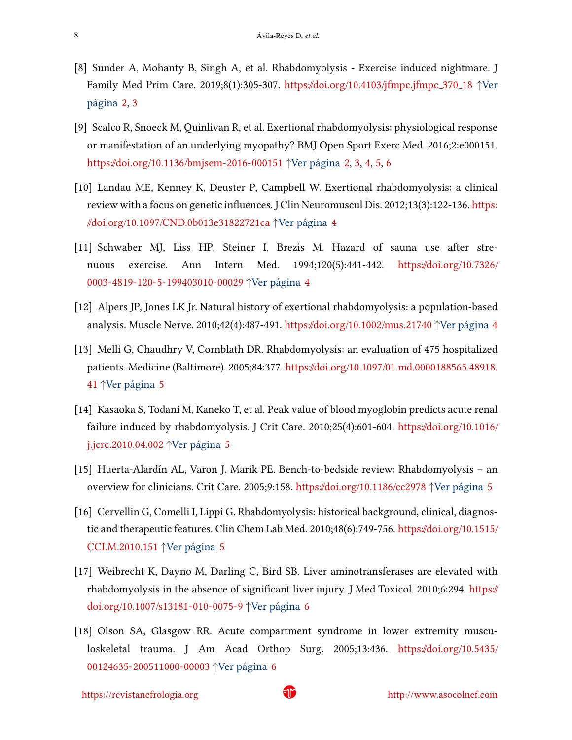- <span id="page-7-1"></span>[8] Sunder A, Mohanty B, Singh A, et al. Rhabdomyolysis - Exercise induced nightmare. J Family Med Prim Care. 2019;8(1):305-307. [https://doi.org/10.4103/jfmpc.jfmpc](https://doi.org/10.4103/jfmpc.jfmpc_370_18) 370 18 ↑Ver página [2,](#page-1-0) [3](#page-2-0)
- <span id="page-7-0"></span>[9] Scalco R, Snoeck M, Quinlivan R, et al. Exertional rhabdomyolysis: physiological response or manifestation of an underlying myopathy? BMJ Open Sport Exerc Med. 2016;2:e000151. <https://doi.org/10.1136/bmjsem-2016-000151> ↑Ver página [2,](#page-1-0) [3,](#page-2-0) [4,](#page-3-1) [5,](#page-4-0) [6](#page-5-0)
- <span id="page-7-2"></span>[10] Landau ME, Kenney K, Deuster P, Campbell W. Exertional rhabdomyolysis: a clinical review with a focus on genetic influences. J Clin Neuromuscul Dis. 2012;13(3):122-136. [https:](https://doi.org/10.1097/CND.0b013e31822721ca) [//doi.org/10.1097/CND.0b013e31822721ca](https://doi.org/10.1097/CND.0b013e31822721ca) ↑Ver página [4](#page-3-1)
- <span id="page-7-3"></span>[11] Schwaber MJ, Liss HP, Steiner I, Brezis M. Hazard of sauna use after strenuous exercise. Ann Intern Med. 1994;120(5):441-442. [https://doi.org/10.7326/](https://doi.org/10.7326/0003-4819-120-5-199403010-00029) [0003-4819-120-5-199403010-00029](https://doi.org/10.7326/0003-4819-120-5-199403010-00029) ↑Ver página [4](#page-3-1)
- <span id="page-7-4"></span>[12] Alpers JP, Jones LK Jr. Natural history of exertional rhabdomyolysis: a population-based analysis. Muscle Nerve. 2010;42(4):487-491. <https://doi.org/10.1002/mus.21740> ↑Ver página [4](#page-3-1)
- <span id="page-7-5"></span>[13] Melli G, Chaudhry V, Cornblath DR. Rhabdomyolysis: an evaluation of 475 hospitalized patients. Medicine (Baltimore). 2005;84:377. [https://doi.org/10.1097/01.md.0000188565.48918.](https://doi.org/10.1097/01.md.0000188565.48918.41) [41](https://doi.org/10.1097/01.md.0000188565.48918.41) ↑Ver página [5](#page-4-0)
- <span id="page-7-6"></span>[14] Kasaoka S, Todani M, Kaneko T, et al. Peak value of blood myoglobin predicts acute renal failure induced by rhabdomyolysis. J Crit Care. 2010;25(4):601-604. [https://doi.org/10.1016/](https://doi.org/10.1016/j.jcrc.2010.04.002) [j.jcrc.2010.04.002](https://doi.org/10.1016/j.jcrc.2010.04.002) ↑Ver página [5](#page-4-0)
- <span id="page-7-7"></span>[15] Huerta-Alardín AL, Varon J, Marik PE. Bench-to-bedside review: Rhabdomyolysis – an overview for clinicians. Crit Care. 2005;9:158. <https://doi.org/10.1186/cc2978> ↑Ver página [5](#page-4-0)
- <span id="page-7-8"></span>[16] Cervellin G, Comelli I, Lippi G. Rhabdomyolysis: historical background, clinical, diagnostic and therapeutic features. Clin Chem Lab Med. 2010;48(6):749-756. [https://doi.org/10.1515/](https://doi.org/10.1515/CCLM.2010.151) [CCLM.2010.151](https://doi.org/10.1515/CCLM.2010.151) ↑Ver página [5](#page-4-0)
- <span id="page-7-9"></span>[17] Weibrecht K, Dayno M, Darling C, Bird SB. Liver aminotransferases are elevated with rhabdomyolysis in the absence of significant liver injury. J Med Toxicol. 2010;6:294. [https://](https://doi.org/10.1007/s13181-010-0075-9) [doi.org/10.1007/s13181-010-0075-9](https://doi.org/10.1007/s13181-010-0075-9) ↑Ver página [6](#page-5-0)
- <span id="page-7-10"></span>[18] Olson SA, Glasgow RR. Acute compartment syndrome in lower extremity musculoskeletal trauma. J Am Acad Orthop Surg. 2005;13:436. [https://doi.org/10.5435/](https://doi.org/10.5435/00124635-200511000-00003) [00124635-200511000-00003](https://doi.org/10.5435/00124635-200511000-00003) ↑Ver página [6](#page-5-0)